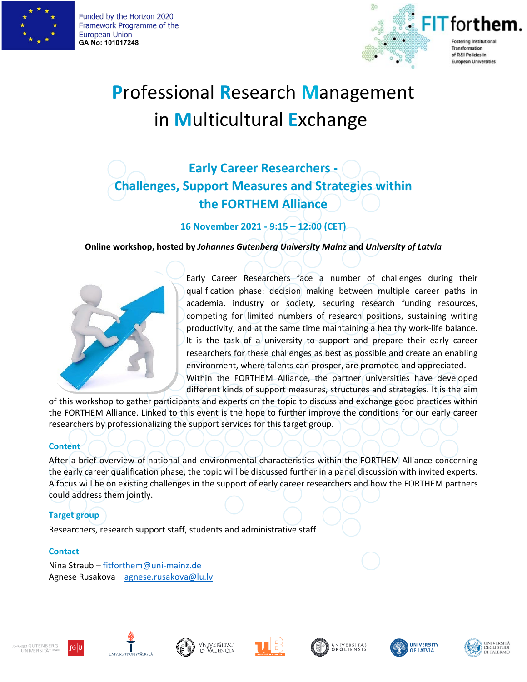

Funded by the Horizon 2020 Framework Programme of the **European Union GA No: 101017248**



# **P**rofessional **R**esearch **M**anagement in **M**ulticultural **E**xchange

## **Early Career Researchers - Challenges, Support Measures and Strategies within the FORTHEM Alliance**

**16 November 2021 - 9:15 – 12:00 (CET)**

**Online workshop, hosted by** *Johannes Gutenberg University Mainz* **and** *University of Latvia* 



Early Career Researchers face a number of challenges during their qualification phase: decision making between multiple career paths in academia, industry or society, securing research funding resources, competing for limited numbers of research positions, sustaining writing productivity, and at the same time maintaining a healthy work-life balance. It is the task of a university to support and prepare their early career researchers for these challenges as best as possible and create an enabling environment, where talents can prosper, are promoted and appreciated. Within the FORTHEM Alliance, the partner universities have developed

different kinds of support measures, structures and strategies. It is the aim

of this workshop to gather participants and experts on the topic to discuss and exchange good practices within the FORTHEM Alliance. Linked to this event is the hope to further improve the conditions for our early career researchers by professionalizing the support services for this target group.

#### **Content**

After a brief overview of national and environmental characteristics within the FORTHEM Alliance concerning the early career qualification phase, the topic will be discussed further in a panel discussion with invited experts. A focus will be on existing challenges in the support of early career researchers and how the FORTHEM partners could address them jointly.

#### **Target group**

Researchers, research support staff, students and administrative staff

#### **Contact**

Nina Straub – [fitforthem@uni-mainz.de](mailto:fitforthem@uni-mainz.de) Agnese Rusakova – [agnese.rusakova@lu.lv](mailto:agnese.rusakova@lu.lv)